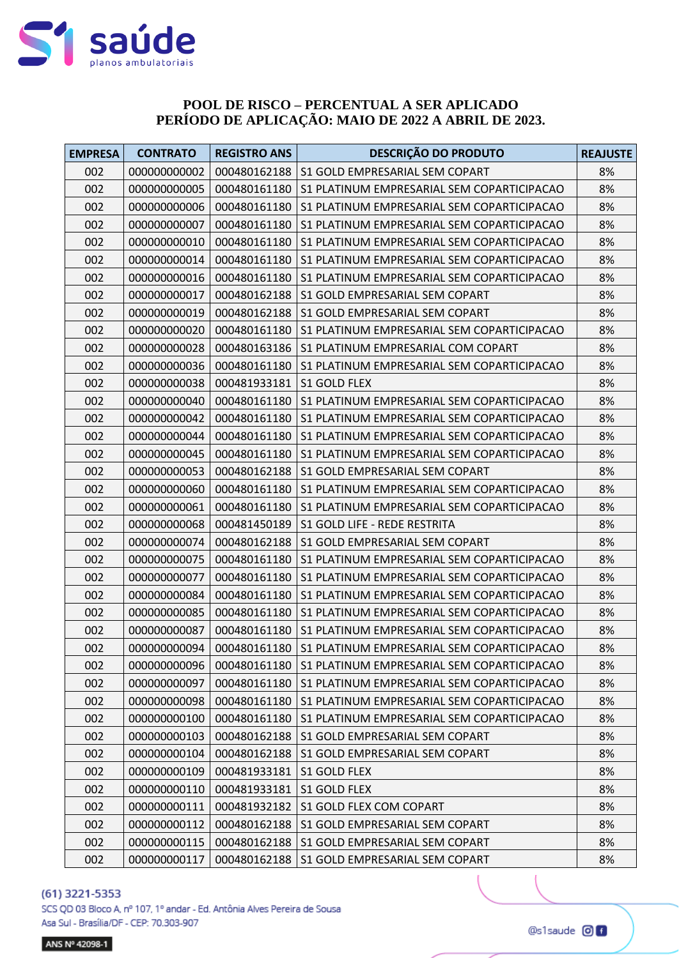

# **POOL DE RISCO - PERCENTUAL A SER APLICADO** PERÍODO DE APLICAÇÃO: MAIO DE 2022 A ABRIL DE 2023.

| <b>EMPRESA</b> | <b>CONTRATO</b> | <b>REGISTRO ANS</b> | DESCRIÇÃO DO PRODUTO                       | <b>REAJUSTE</b> |
|----------------|-----------------|---------------------|--------------------------------------------|-----------------|
| 002            | 000000000002    | 000480162188        | S1 GOLD EMPRESARIAL SEM COPART             | 8%              |
| 002            | 000000000005    | 000480161180        | S1 PLATINUM EMPRESARIAL SEM COPARTICIPACAO | 8%              |
| 002            | 000000000006    | 000480161180        | S1 PLATINUM EMPRESARIAL SEM COPARTICIPACAO | 8%              |
| 002            | 000000000007    | 000480161180        | S1 PLATINUM EMPRESARIAL SEM COPARTICIPACAO | 8%              |
| 002            | 000000000010    | 000480161180        | S1 PLATINUM EMPRESARIAL SEM COPARTICIPACAO | 8%              |
| 002            | 000000000014    | 000480161180        | S1 PLATINUM EMPRESARIAL SEM COPARTICIPACAO | 8%              |
| 002            | 000000000016    | 000480161180        | S1 PLATINUM EMPRESARIAL SEM COPARTICIPACAO | 8%              |
| 002            | 000000000017    | 000480162188        | S1 GOLD EMPRESARIAL SEM COPART             | 8%              |
| 002            | 000000000019    | 000480162188        | S1 GOLD EMPRESARIAL SEM COPART             | 8%              |
| 002            | 000000000020    | 000480161180        | S1 PLATINUM EMPRESARIAL SEM COPARTICIPACAO | 8%              |
| 002            | 000000000028    | 000480163186        | S1 PLATINUM EMPRESARIAL COM COPART         | 8%              |
| 002            | 000000000036    | 000480161180        | S1 PLATINUM EMPRESARIAL SEM COPARTICIPACAO | 8%              |
| 002            | 000000000038    | 000481933181        | S1 GOLD FLEX                               | 8%              |
| 002            | 000000000040    | 000480161180        | S1 PLATINUM EMPRESARIAL SEM COPARTICIPACAO | 8%              |
| 002            | 000000000042    | 000480161180        | S1 PLATINUM EMPRESARIAL SEM COPARTICIPACAO | 8%              |
| 002            | 000000000044    | 000480161180        | S1 PLATINUM EMPRESARIAL SEM COPARTICIPACAO | 8%              |
| 002            | 000000000045    | 000480161180        | S1 PLATINUM EMPRESARIAL SEM COPARTICIPACAO | 8%              |
| 002            | 000000000053    | 000480162188        | S1 GOLD EMPRESARIAL SEM COPART             | 8%              |
| 002            | 000000000060    | 000480161180        | S1 PLATINUM EMPRESARIAL SEM COPARTICIPACAO | 8%              |
| 002            | 000000000061    | 000480161180        | S1 PLATINUM EMPRESARIAL SEM COPARTICIPACAO | 8%              |
| 002            | 000000000068    | 000481450189        | S1 GOLD LIFE - REDE RESTRITA               | 8%              |
| 002            | 000000000074    | 000480162188        | S1 GOLD EMPRESARIAL SEM COPART             | 8%              |
| 002            | 000000000075    | 000480161180        | S1 PLATINUM EMPRESARIAL SEM COPARTICIPACAO | 8%              |
| 002            | 000000000077    | 000480161180        | S1 PLATINUM EMPRESARIAL SEM COPARTICIPACAO | 8%              |
| 002            | 000000000084    | 000480161180        | S1 PLATINUM EMPRESARIAL SEM COPARTICIPACAO | 8%              |
| 002            | 000000000085    | 000480161180        | S1 PLATINUM EMPRESARIAL SEM COPARTICIPACAO | 8%              |
| 002            | 000000000087    | 000480161180        | S1 PLATINUM EMPRESARIAL SEM COPARTICIPACAO | 8%              |
| 002            | 000000000094    | 000480161180        | S1 PLATINUM EMPRESARIAL SEM COPARTICIPACAO | 8%              |
| 002            | 000000000096    | 000480161180        | S1 PLATINUM EMPRESARIAL SEM COPARTICIPACAO | 8%              |
| 002            | 000000000097    | 000480161180        | S1 PLATINUM EMPRESARIAL SEM COPARTICIPACAO | 8%              |
| 002            | 000000000098    | 000480161180        | S1 PLATINUM EMPRESARIAL SEM COPARTICIPACAO | 8%              |
| 002            | 000000000100    | 000480161180        | S1 PLATINUM EMPRESARIAL SEM COPARTICIPACAO | 8%              |
| 002            | 000000000103    | 000480162188        | S1 GOLD EMPRESARIAL SEM COPART             | 8%              |
| 002            | 000000000104    | 000480162188        | S1 GOLD EMPRESARIAL SEM COPART             | 8%              |
| 002            | 000000000109    | 000481933181        | S1 GOLD FLEX                               | 8%              |
| 002            | 000000000110    | 000481933181        | S1 GOLD FLEX                               | 8%              |
| 002            | 000000000111    | 000481932182        | S1 GOLD FLEX COM COPART                    | 8%              |
| 002            | 000000000112    | 000480162188        | S1 GOLD EMPRESARIAL SEM COPART             | 8%              |
| 002            | 000000000115    | 000480162188        | S1 GOLD EMPRESARIAL SEM COPART             | 8%              |
| 002            | 000000000117    | 000480162188        | S1 GOLD EMPRESARIAL SEM COPART             | 8%              |

#### (61) 3221-5353

SCS QD 03 Bloco A, nº 107, 1º andar - Ed. Antônia Alves Pereira de Sousa Asa Sul - Brasília/DF - CEP: 70.303-907

ANS Nº 42098-1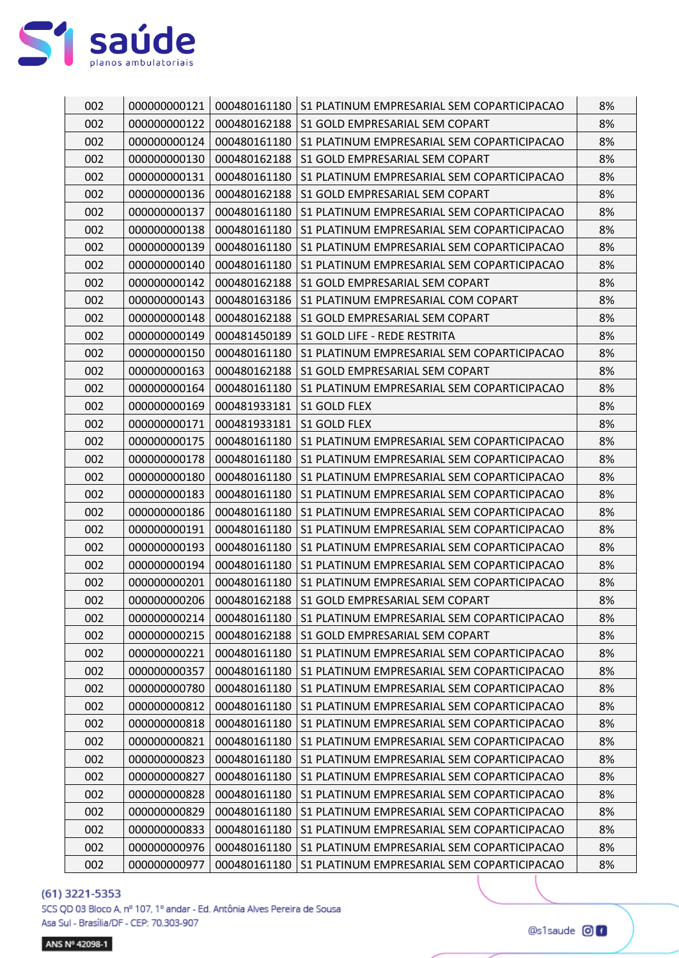

| 002 | 000000000121 | 000480161180 | S1 PLATINUM EMPRESARIAL SEM COPARTICIPACAO | 8% |
|-----|--------------|--------------|--------------------------------------------|----|
| 002 | 000000000122 | 000480162188 | S1 GOLD EMPRESARIAL SEM COPART             | 8% |
| 002 | 000000000124 | 000480161180 | S1 PLATINUM EMPRESARIAL SEM COPARTICIPACAO | 8% |
| 002 | 000000000130 | 000480162188 | S1 GOLD EMPRESARIAL SEM COPART             | 8% |
| 002 | 000000000131 | 000480161180 | S1 PLATINUM EMPRESARIAL SEM COPARTICIPACAO | 8% |
| 002 | 000000000136 | 000480162188 | S1 GOLD EMPRESARIAL SEM COPART             | 8% |
| 002 | 000000000137 | 000480161180 | S1 PLATINUM EMPRESARIAL SEM COPARTICIPACAO | 8% |
| 002 | 000000000138 | 000480161180 | S1 PLATINUM EMPRESARIAL SEM COPARTICIPACAO | 8% |
| 002 | 000000000139 | 000480161180 | S1 PLATINUM EMPRESARIAL SEM COPARTICIPACAO | 8% |
| 002 | 000000000140 | 000480161180 | S1 PLATINUM EMPRESARIAL SEM COPARTICIPACAO | 8% |
| 002 | 000000000142 | 000480162188 | S1 GOLD EMPRESARIAL SEM COPART             | 8% |
| 002 | 000000000143 | 000480163186 | S1 PLATINUM EMPRESARIAL COM COPART         | 8% |
| 002 | 000000000148 | 000480162188 | S1 GOLD EMPRESARIAL SEM COPART             | 8% |
| 002 | 000000000149 | 000481450189 | S1 GOLD LIFE - REDE RESTRITA               | 8% |
| 002 | 000000000150 | 000480161180 | S1 PLATINUM EMPRESARIAL SEM COPARTICIPACAO | 8% |
| 002 | 000000000163 | 000480162188 | S1 GOLD EMPRESARIAL SEM COPART             | 8% |
| 002 | 000000000164 | 000480161180 | S1 PLATINUM EMPRESARIAL SEM COPARTICIPACAO | 8% |
| 002 | 000000000169 | 000481933181 | S1 GOLD FLEX                               | 8% |
| 002 | 000000000171 | 000481933181 | S1 GOLD FLEX                               | 8% |
| 002 | 000000000175 | 000480161180 | S1 PLATINUM EMPRESARIAL SEM COPARTICIPACAO | 8% |
| 002 | 000000000178 | 000480161180 | S1 PLATINUM EMPRESARIAL SEM COPARTICIPACAO | 8% |
| 002 | 000000000180 | 000480161180 | S1 PLATINUM EMPRESARIAL SEM COPARTICIPACAO | 8% |
| 002 | 000000000183 | 000480161180 | S1 PLATINUM EMPRESARIAL SEM COPARTICIPACAO | 8% |
| 002 | 000000000186 | 000480161180 | S1 PLATINUM EMPRESARIAL SEM COPARTICIPACAO | 8% |
| 002 | 000000000191 | 000480161180 | S1 PLATINUM EMPRESARIAL SEM COPARTICIPACAO | 8% |
| 002 | 000000000193 | 000480161180 | S1 PLATINUM EMPRESARIAL SEM COPARTICIPACAO | 8% |
| 002 | 000000000194 | 000480161180 | S1 PLATINUM EMPRESARIAL SEM COPARTICIPACAO | 8% |
| 002 | 000000000201 | 000480161180 | S1 PLATINUM EMPRESARIAL SEM COPARTICIPACAO | 8% |
| 002 | 000000000206 | 000480162188 | S1 GOLD EMPRESARIAL SEM COPART             | 8% |
| 002 | 000000000214 | 000480161180 | S1 PLATINUM EMPRESARIAL SEM COPARTICIPACAO | 8% |
| 002 | 000000000215 | 000480162188 | S1 GOLD EMPRESARIAL SEM COPART             | 8% |
| 002 | 000000000221 | 000480161180 | S1 PLATINUM EMPRESARIAL SEM COPARTICIPACAO | 8% |
| 002 | 000000000357 | 000480161180 | S1 PLATINUM EMPRESARIAL SEM COPARTICIPACAO | 8% |
| 002 | 000000000780 | 000480161180 | S1 PLATINUM EMPRESARIAL SEM COPARTICIPACAO | 8% |
| 002 | 000000000812 | 000480161180 | S1 PLATINUM EMPRESARIAL SEM COPARTICIPACAO | 8% |
| 002 | 000000000818 | 000480161180 | S1 PLATINUM EMPRESARIAL SEM COPARTICIPACAO | 8% |
| 002 | 000000000821 | 000480161180 | S1 PLATINUM EMPRESARIAL SEM COPARTICIPACAO | 8% |
| 002 | 000000000823 | 000480161180 | S1 PLATINUM EMPRESARIAL SEM COPARTICIPACAO | 8% |
| 002 | 000000000827 | 000480161180 | S1 PLATINUM EMPRESARIAL SEM COPARTICIPACAO | 8% |
| 002 | 000000000828 | 000480161180 | S1 PLATINUM EMPRESARIAL SEM COPARTICIPACAO | 8% |
| 002 | 000000000829 | 000480161180 | S1 PLATINUM EMPRESARIAL SEM COPARTICIPACAO | 8% |
| 002 | 000000000833 | 000480161180 | S1 PLATINUM EMPRESARIAL SEM COPARTICIPACAO | 8% |
| 002 | 000000000976 | 000480161180 | S1 PLATINUM EMPRESARIAL SEM COPARTICIPACAO | 8% |
| 002 | 000000000977 | 000480161180 | S1 PLATINUM EMPRESARIAL SEM COPARTICIPACAO | 8% |

SCS QD 03 Bloco A, nº 107, 1º andar - Ed. Antônia Alves Pereira de Sousa Asa Sul - Brasília/DF - CEP: 70.303-907

ANS Nº 42098-1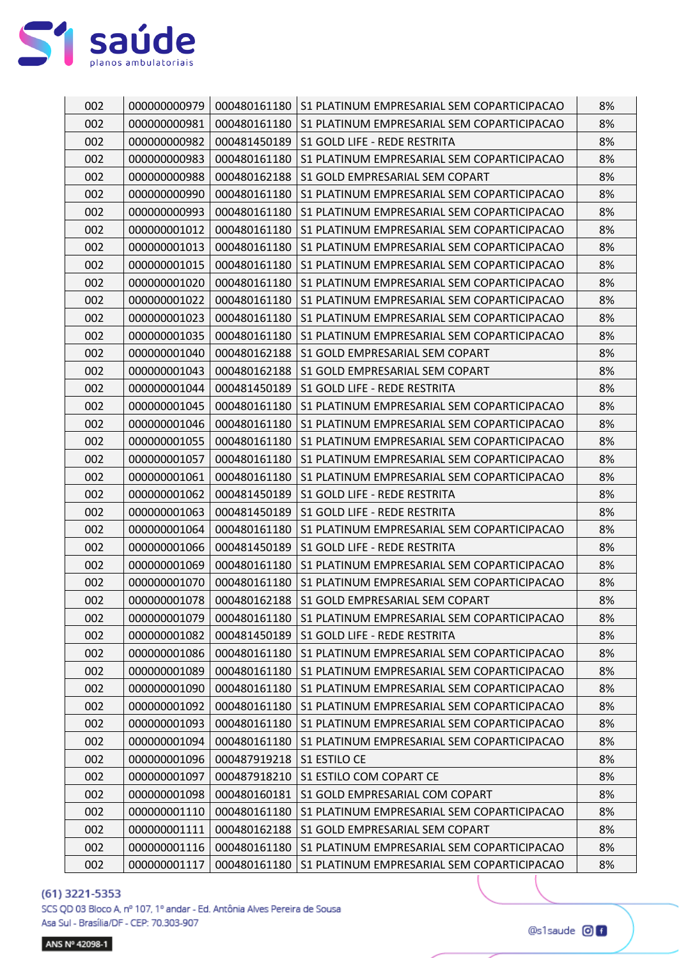

| 002 | 000000000979 |              | 000480161180   S1 PLATINUM EMPRESARIAL SEM COPARTICIPACAO | 8% |
|-----|--------------|--------------|-----------------------------------------------------------|----|
| 002 | 000000000981 | 000480161180 | S1 PLATINUM EMPRESARIAL SEM COPARTICIPACAO                | 8% |
| 002 | 000000000982 | 000481450189 | S1 GOLD LIFE - REDE RESTRITA                              | 8% |
| 002 | 000000000983 | 000480161180 | S1 PLATINUM EMPRESARIAL SEM COPARTICIPACAO                | 8% |
| 002 | 000000000988 | 000480162188 | S1 GOLD EMPRESARIAL SEM COPART                            | 8% |
| 002 | 000000000990 | 000480161180 | S1 PLATINUM EMPRESARIAL SEM COPARTICIPACAO                | 8% |
| 002 | 000000000993 | 000480161180 | S1 PLATINUM EMPRESARIAL SEM COPARTICIPACAO                | 8% |
| 002 | 000000001012 | 000480161180 | S1 PLATINUM EMPRESARIAL SEM COPARTICIPACAO                | 8% |
| 002 | 000000001013 | 000480161180 | S1 PLATINUM EMPRESARIAL SEM COPARTICIPACAO                | 8% |
| 002 | 000000001015 | 000480161180 | S1 PLATINUM EMPRESARIAL SEM COPARTICIPACAO                | 8% |
| 002 | 000000001020 | 000480161180 | S1 PLATINUM EMPRESARIAL SEM COPARTICIPACAO                | 8% |
| 002 | 000000001022 | 000480161180 | S1 PLATINUM EMPRESARIAL SEM COPARTICIPACAO                | 8% |
| 002 | 000000001023 | 000480161180 | S1 PLATINUM EMPRESARIAL SEM COPARTICIPACAO                | 8% |
| 002 | 000000001035 | 000480161180 | S1 PLATINUM EMPRESARIAL SEM COPARTICIPACAO                | 8% |
| 002 | 000000001040 | 000480162188 | S1 GOLD EMPRESARIAL SEM COPART                            | 8% |
| 002 | 000000001043 | 000480162188 | S1 GOLD EMPRESARIAL SEM COPART                            | 8% |
| 002 | 000000001044 | 000481450189 | S1 GOLD LIFE - REDE RESTRITA                              | 8% |
| 002 | 000000001045 | 000480161180 | S1 PLATINUM EMPRESARIAL SEM COPARTICIPACAO                | 8% |
| 002 | 000000001046 | 000480161180 | S1 PLATINUM EMPRESARIAL SEM COPARTICIPACAO                | 8% |
| 002 | 000000001055 | 000480161180 | S1 PLATINUM EMPRESARIAL SEM COPARTICIPACAO                | 8% |
| 002 | 000000001057 | 000480161180 | S1 PLATINUM EMPRESARIAL SEM COPARTICIPACAO                | 8% |
| 002 | 000000001061 | 000480161180 | S1 PLATINUM EMPRESARIAL SEM COPARTICIPACAO                | 8% |
| 002 | 000000001062 | 000481450189 | S1 GOLD LIFE - REDE RESTRITA                              | 8% |
| 002 | 000000001063 | 000481450189 | S1 GOLD LIFE - REDE RESTRITA                              | 8% |
| 002 | 000000001064 | 000480161180 | S1 PLATINUM EMPRESARIAL SEM COPARTICIPACAO                | 8% |
| 002 | 000000001066 | 000481450189 | S1 GOLD LIFE - REDE RESTRITA                              | 8% |
| 002 | 000000001069 | 000480161180 | S1 PLATINUM EMPRESARIAL SEM COPARTICIPACAO                | 8% |
| 002 | 000000001070 | 000480161180 | S1 PLATINUM EMPRESARIAL SEM COPARTICIPACAO                | 8% |
| 002 | 000000001078 | 000480162188 | S1 GOLD EMPRESARIAL SEM COPART                            | 8% |
| 002 | 000000001079 | 000480161180 | S1 PLATINUM EMPRESARIAL SEM COPARTICIPACAO                | 8% |
| 002 | 000000001082 | 000481450189 | S1 GOLD LIFE - REDE RESTRITA                              | 8% |
| 002 | 000000001086 | 000480161180 | S1 PLATINUM EMPRESARIAL SEM COPARTICIPACAO                | 8% |
| 002 | 000000001089 | 000480161180 | S1 PLATINUM EMPRESARIAL SEM COPARTICIPACAO                | 8% |
| 002 | 000000001090 | 000480161180 | S1 PLATINUM EMPRESARIAL SEM COPARTICIPACAO                | 8% |
| 002 | 000000001092 | 000480161180 | S1 PLATINUM EMPRESARIAL SEM COPARTICIPACAO                | 8% |
| 002 | 000000001093 | 000480161180 | S1 PLATINUM EMPRESARIAL SEM COPARTICIPACAO                | 8% |
| 002 | 000000001094 | 000480161180 | S1 PLATINUM EMPRESARIAL SEM COPARTICIPACAO                | 8% |
| 002 | 000000001096 | 000487919218 | S1 ESTILO CE                                              | 8% |
| 002 | 000000001097 | 000487918210 | S1 ESTILO COM COPART CE                                   | 8% |
| 002 | 000000001098 | 000480160181 | S1 GOLD EMPRESARIAL COM COPART                            | 8% |
| 002 | 000000001110 | 000480161180 | S1 PLATINUM EMPRESARIAL SEM COPARTICIPACAO                | 8% |
| 002 | 000000001111 | 000480162188 | S1 GOLD EMPRESARIAL SEM COPART                            | 8% |
| 002 | 000000001116 | 000480161180 | S1 PLATINUM EMPRESARIAL SEM COPARTICIPACAO                | 8% |
| 002 | 000000001117 | 000480161180 | S1 PLATINUM EMPRESARIAL SEM COPARTICIPACAO                | 8% |

SCS QD 03 Bloco A, nº 107, 1º andar - Ed. Antônia Alves Pereira de Sousa Asa Sul - Brasília/DF - CEP: 70.303-907

ANS Nº 42098-1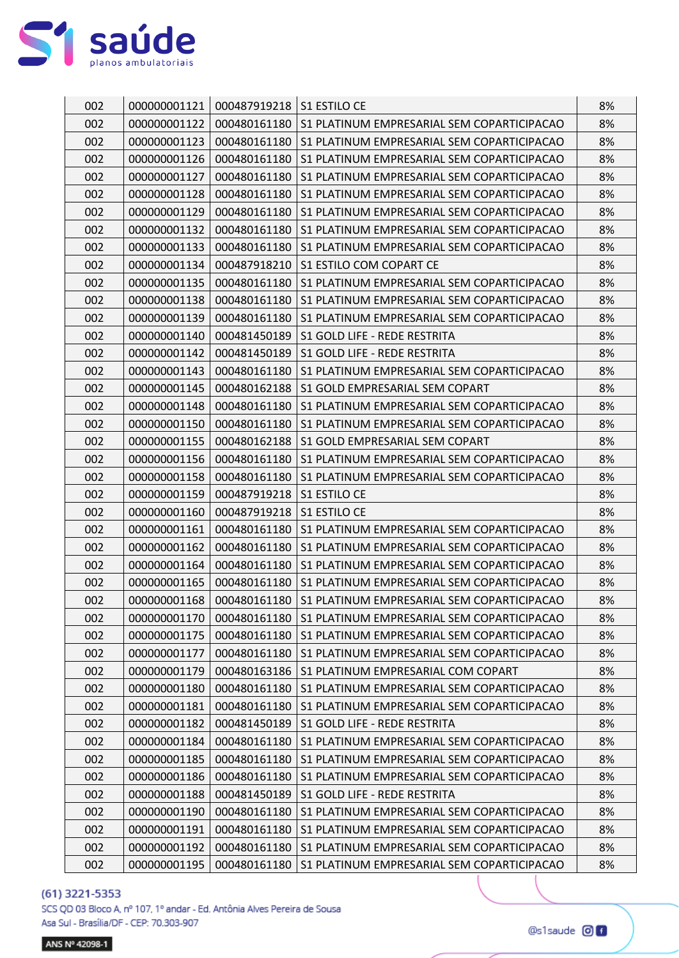

| 002 | 000000001121 | 000487919218 | S1 ESTILO CE                               | 8% |
|-----|--------------|--------------|--------------------------------------------|----|
| 002 | 000000001122 | 000480161180 | S1 PLATINUM EMPRESARIAL SEM COPARTICIPACAO | 8% |
| 002 | 000000001123 | 000480161180 | S1 PLATINUM EMPRESARIAL SEM COPARTICIPACAO | 8% |
| 002 | 000000001126 | 000480161180 | S1 PLATINUM EMPRESARIAL SEM COPARTICIPACAO | 8% |
| 002 | 000000001127 | 000480161180 | S1 PLATINUM EMPRESARIAL SEM COPARTICIPACAO | 8% |
| 002 | 000000001128 | 000480161180 | S1 PLATINUM EMPRESARIAL SEM COPARTICIPACAO | 8% |
| 002 | 000000001129 | 000480161180 | S1 PLATINUM EMPRESARIAL SEM COPARTICIPACAO | 8% |
| 002 | 000000001132 | 000480161180 | S1 PLATINUM EMPRESARIAL SEM COPARTICIPACAO | 8% |
| 002 | 000000001133 | 000480161180 | S1 PLATINUM EMPRESARIAL SEM COPARTICIPACAO | 8% |
| 002 | 000000001134 | 000487918210 | S1 ESTILO COM COPART CE                    | 8% |
| 002 | 000000001135 | 000480161180 | S1 PLATINUM EMPRESARIAL SEM COPARTICIPACAO | 8% |
| 002 | 000000001138 | 000480161180 | S1 PLATINUM EMPRESARIAL SEM COPARTICIPACAO | 8% |
| 002 | 000000001139 | 000480161180 | S1 PLATINUM EMPRESARIAL SEM COPARTICIPACAO | 8% |
| 002 | 000000001140 | 000481450189 | S1 GOLD LIFE - REDE RESTRITA               | 8% |
| 002 | 000000001142 | 000481450189 | S1 GOLD LIFE - REDE RESTRITA               | 8% |
| 002 | 000000001143 | 000480161180 | S1 PLATINUM EMPRESARIAL SEM COPARTICIPACAO | 8% |
| 002 | 000000001145 | 000480162188 | S1 GOLD EMPRESARIAL SEM COPART             | 8% |
| 002 | 000000001148 | 000480161180 | S1 PLATINUM EMPRESARIAL SEM COPARTICIPACAO | 8% |
| 002 | 000000001150 | 000480161180 | S1 PLATINUM EMPRESARIAL SEM COPARTICIPACAO | 8% |
| 002 | 000000001155 | 000480162188 | S1 GOLD EMPRESARIAL SEM COPART             | 8% |
| 002 | 000000001156 | 000480161180 | S1 PLATINUM EMPRESARIAL SEM COPARTICIPACAO | 8% |
| 002 | 000000001158 | 000480161180 | S1 PLATINUM EMPRESARIAL SEM COPARTICIPACAO | 8% |
| 002 | 000000001159 | 000487919218 | S1 ESTILO CE                               | 8% |
| 002 | 000000001160 | 000487919218 | S1 ESTILO CE                               | 8% |
| 002 | 000000001161 | 000480161180 | S1 PLATINUM EMPRESARIAL SEM COPARTICIPACAO | 8% |
| 002 | 000000001162 | 000480161180 | S1 PLATINUM EMPRESARIAL SEM COPARTICIPACAO | 8% |
| 002 | 000000001164 | 000480161180 | S1 PLATINUM EMPRESARIAL SEM COPARTICIPACAO | 8% |
| 002 | 000000001165 | 000480161180 | S1 PLATINUM EMPRESARIAL SEM COPARTICIPACAO | 8% |
| 002 | 000000001168 | 000480161180 | S1 PLATINUM EMPRESARIAL SEM COPARTICIPACAO | 8% |
| 002 | 000000001170 | 000480161180 | S1 PLATINUM EMPRESARIAL SEM COPARTICIPACAO | 8% |
| 002 | 000000001175 | 000480161180 | S1 PLATINUM EMPRESARIAL SEM COPARTICIPACAO | 8% |
| 002 | 000000001177 | 000480161180 | S1 PLATINUM EMPRESARIAL SEM COPARTICIPACAO | 8% |
| 002 | 000000001179 | 000480163186 | S1 PLATINUM EMPRESARIAL COM COPART         | 8% |
| 002 | 000000001180 | 000480161180 | S1 PLATINUM EMPRESARIAL SEM COPARTICIPACAO | 8% |
| 002 | 000000001181 | 000480161180 | S1 PLATINUM EMPRESARIAL SEM COPARTICIPACAO | 8% |
| 002 | 000000001182 | 000481450189 | S1 GOLD LIFE - REDE RESTRITA               | 8% |
| 002 | 000000001184 | 000480161180 | S1 PLATINUM EMPRESARIAL SEM COPARTICIPACAO | 8% |
| 002 | 000000001185 | 000480161180 | S1 PLATINUM EMPRESARIAL SEM COPARTICIPACAO | 8% |
| 002 | 000000001186 | 000480161180 | S1 PLATINUM EMPRESARIAL SEM COPARTICIPACAO | 8% |
| 002 | 000000001188 | 000481450189 | S1 GOLD LIFE - REDE RESTRITA               | 8% |
| 002 | 000000001190 | 000480161180 | S1 PLATINUM EMPRESARIAL SEM COPARTICIPACAO | 8% |
| 002 | 000000001191 | 000480161180 | S1 PLATINUM EMPRESARIAL SEM COPARTICIPACAO | 8% |
| 002 | 000000001192 | 000480161180 | S1 PLATINUM EMPRESARIAL SEM COPARTICIPACAO | 8% |
| 002 | 000000001195 | 000480161180 | S1 PLATINUM EMPRESARIAL SEM COPARTICIPACAO | 8% |

SCS QD 03 Bloco A, nº 107, 1º andar - Ed. Antônia Alves Pereira de Sousa Asa Sul - Brasília/DF - CEP: 70.303-907

ANS Nº 42098-1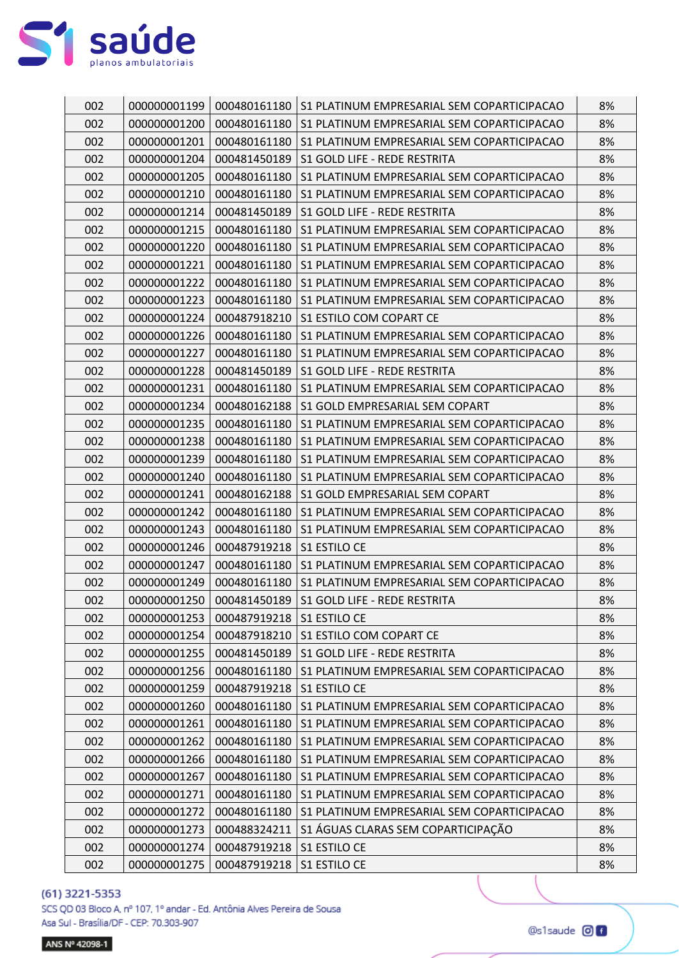

| 002 | 000000001199 | 000480161180 | S1 PLATINUM EMPRESARIAL SEM COPARTICIPACAO | 8% |
|-----|--------------|--------------|--------------------------------------------|----|
| 002 | 000000001200 | 000480161180 | S1 PLATINUM EMPRESARIAL SEM COPARTICIPACAO | 8% |
| 002 | 000000001201 | 000480161180 | S1 PLATINUM EMPRESARIAL SEM COPARTICIPACAO | 8% |
| 002 | 000000001204 | 000481450189 | S1 GOLD LIFE - REDE RESTRITA               | 8% |
| 002 | 000000001205 | 000480161180 | S1 PLATINUM EMPRESARIAL SEM COPARTICIPACAO | 8% |
| 002 | 000000001210 | 000480161180 | S1 PLATINUM EMPRESARIAL SEM COPARTICIPACAO | 8% |
| 002 | 000000001214 | 000481450189 | S1 GOLD LIFE - REDE RESTRITA               | 8% |
| 002 | 000000001215 | 000480161180 | S1 PLATINUM EMPRESARIAL SEM COPARTICIPACAO | 8% |
| 002 | 000000001220 | 000480161180 | S1 PLATINUM EMPRESARIAL SEM COPARTICIPACAO | 8% |
| 002 | 000000001221 | 000480161180 | S1 PLATINUM EMPRESARIAL SEM COPARTICIPACAO | 8% |
| 002 | 000000001222 | 000480161180 | S1 PLATINUM EMPRESARIAL SEM COPARTICIPACAO | 8% |
| 002 | 000000001223 | 000480161180 | S1 PLATINUM EMPRESARIAL SEM COPARTICIPACAO | 8% |
| 002 | 000000001224 | 000487918210 | S1 ESTILO COM COPART CE                    | 8% |
| 002 | 000000001226 | 000480161180 | S1 PLATINUM EMPRESARIAL SEM COPARTICIPACAO | 8% |
| 002 | 000000001227 | 000480161180 | S1 PLATINUM EMPRESARIAL SEM COPARTICIPACAO | 8% |
| 002 | 000000001228 | 000481450189 | S1 GOLD LIFE - REDE RESTRITA               | 8% |
| 002 | 000000001231 | 000480161180 | S1 PLATINUM EMPRESARIAL SEM COPARTICIPACAO | 8% |
| 002 | 000000001234 | 000480162188 | S1 GOLD EMPRESARIAL SEM COPART             | 8% |
| 002 | 000000001235 | 000480161180 | S1 PLATINUM EMPRESARIAL SEM COPARTICIPACAO | 8% |
| 002 | 000000001238 | 000480161180 | S1 PLATINUM EMPRESARIAL SEM COPARTICIPACAO | 8% |
| 002 | 000000001239 | 000480161180 | S1 PLATINUM EMPRESARIAL SEM COPARTICIPACAO | 8% |
| 002 | 000000001240 | 000480161180 | S1 PLATINUM EMPRESARIAL SEM COPARTICIPACAO | 8% |
| 002 | 000000001241 | 000480162188 | S1 GOLD EMPRESARIAL SEM COPART             | 8% |
| 002 | 000000001242 | 000480161180 | S1 PLATINUM EMPRESARIAL SEM COPARTICIPACAO | 8% |
| 002 | 000000001243 | 000480161180 | S1 PLATINUM EMPRESARIAL SEM COPARTICIPACAO | 8% |
| 002 | 000000001246 | 000487919218 | S1 ESTILO CE                               | 8% |
| 002 | 000000001247 | 000480161180 | S1 PLATINUM EMPRESARIAL SEM COPARTICIPACAO | 8% |
| 002 | 000000001249 | 000480161180 | S1 PLATINUM EMPRESARIAL SEM COPARTICIPACAO | 8% |
| 002 | 000000001250 | 000481450189 | S1 GOLD LIFE - REDE RESTRITA               | 8% |
| 002 | 000000001253 | 000487919218 | S1 ESTILO CE                               | 8% |
| 002 | 000000001254 | 000487918210 | S1 ESTILO COM COPART CE                    | 8% |
| 002 | 000000001255 | 000481450189 | S1 GOLD LIFE - REDE RESTRITA               | 8% |
| 002 | 000000001256 | 000480161180 | S1 PLATINUM EMPRESARIAL SEM COPARTICIPACAO | 8% |
| 002 | 000000001259 | 000487919218 | S1 ESTILO CE                               | 8% |
| 002 | 000000001260 | 000480161180 | S1 PLATINUM EMPRESARIAL SEM COPARTICIPACAO | 8% |
| 002 | 000000001261 | 000480161180 | S1 PLATINUM EMPRESARIAL SEM COPARTICIPACAO | 8% |
| 002 | 000000001262 | 000480161180 | S1 PLATINUM EMPRESARIAL SEM COPARTICIPACAO | 8% |
| 002 | 000000001266 | 000480161180 | S1 PLATINUM EMPRESARIAL SEM COPARTICIPACAO | 8% |
| 002 | 000000001267 | 000480161180 | S1 PLATINUM EMPRESARIAL SEM COPARTICIPACAO | 8% |
| 002 | 000000001271 | 000480161180 | S1 PLATINUM EMPRESARIAL SEM COPARTICIPACAO | 8% |
| 002 | 000000001272 | 000480161180 | S1 PLATINUM EMPRESARIAL SEM COPARTICIPACAO | 8% |
| 002 | 000000001273 | 000488324211 | S1 ÁGUAS CLARAS SEM COPARTICIPAÇÃO         | 8% |
| 002 | 000000001274 | 000487919218 | S1 ESTILO CE                               | 8% |
| 002 | 000000001275 | 000487919218 | S1 ESTILO CE                               | 8% |

SCS QD 03 Bloco A, nº 107, 1º andar - Ed. Antônia Alves Pereira de Sousa Asa Sul - Brasília/DF - CEP: 70.303-907

ANS Nº 42098-1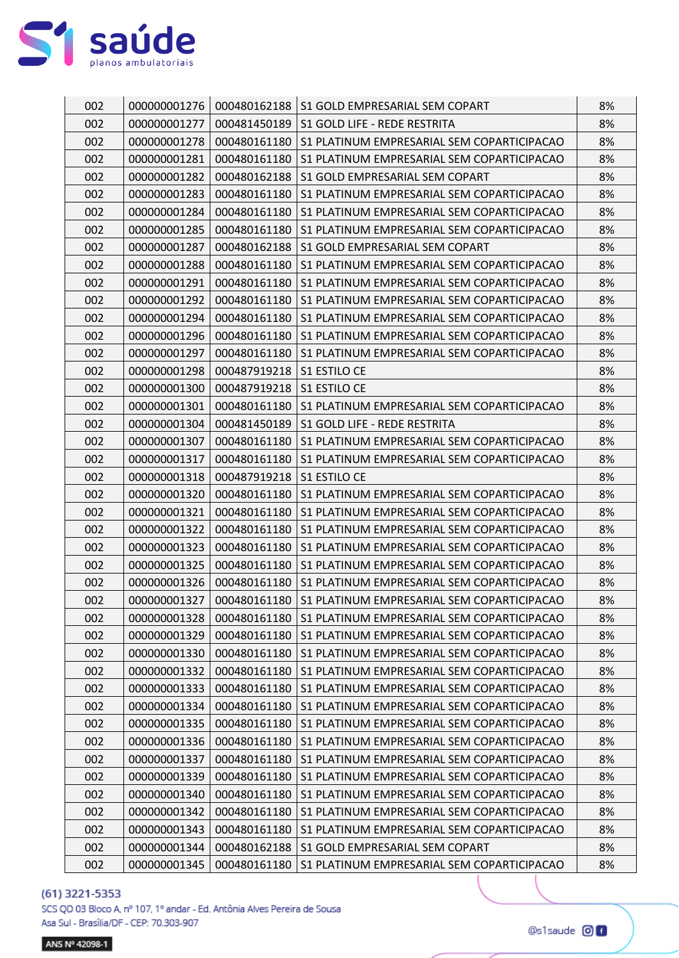

| 002<br>000480162188<br>000000001276<br>S1 GOLD EMPRESARIAL SEM COPART             | 8% |
|-----------------------------------------------------------------------------------|----|
| 002<br>000000001277<br>000481450189<br>S1 GOLD LIFE - REDE RESTRITA               | 8% |
| 002<br>000000001278<br>000480161180<br>S1 PLATINUM EMPRESARIAL SEM COPARTICIPACAO | 8% |
| 002<br>000480161180<br>000000001281<br>S1 PLATINUM EMPRESARIAL SEM COPARTICIPACAO | 8% |
| 002<br>000000001282<br>000480162188<br>S1 GOLD EMPRESARIAL SEM COPART             | 8% |
| 002<br>000000001283<br>000480161180<br>S1 PLATINUM EMPRESARIAL SEM COPARTICIPACAO | 8% |
| 002<br>000000001284<br>000480161180<br>S1 PLATINUM EMPRESARIAL SEM COPARTICIPACAO | 8% |
| 002<br>S1 PLATINUM EMPRESARIAL SEM COPARTICIPACAO<br>000000001285<br>000480161180 | 8% |
| 002<br>000000001287<br>000480162188<br>S1 GOLD EMPRESARIAL SEM COPART             | 8% |
| 002<br>000000001288<br>000480161180<br>S1 PLATINUM EMPRESARIAL SEM COPARTICIPACAO | 8% |
| 002<br>000000001291<br>000480161180<br>S1 PLATINUM EMPRESARIAL SEM COPARTICIPACAO | 8% |
| 002<br>000000001292<br>000480161180<br>S1 PLATINUM EMPRESARIAL SEM COPARTICIPACAO | 8% |
| 002<br>000000001294<br>000480161180<br>S1 PLATINUM EMPRESARIAL SEM COPARTICIPACAO | 8% |
| 002<br>000000001296<br>000480161180<br>S1 PLATINUM EMPRESARIAL SEM COPARTICIPACAO | 8% |
| 002<br>000000001297<br>000480161180<br>S1 PLATINUM EMPRESARIAL SEM COPARTICIPACAO | 8% |
| 002<br>000000001298<br>000487919218<br>S1 ESTILO CE                               | 8% |
| 002<br><b>S1 ESTILO CE</b><br>000000001300<br>000487919218                        | 8% |
| 002<br>000480161180<br>000000001301<br>S1 PLATINUM EMPRESARIAL SEM COPARTICIPACAO | 8% |
| 002<br>000000001304<br>000481450189<br>S1 GOLD LIFE - REDE RESTRITA               | 8% |
| 002<br>000000001307<br>000480161180<br>S1 PLATINUM EMPRESARIAL SEM COPARTICIPACAO | 8% |
| 002<br>000000001317<br>000480161180<br>S1 PLATINUM EMPRESARIAL SEM COPARTICIPACAO | 8% |
| 002<br>000000001318<br>000487919218<br>S1 ESTILO CE                               | 8% |
| 002<br>000000001320<br>000480161180<br>S1 PLATINUM EMPRESARIAL SEM COPARTICIPACAO | 8% |
| 002<br>000000001321<br>000480161180<br>S1 PLATINUM EMPRESARIAL SEM COPARTICIPACAO | 8% |
| 002<br>000000001322<br>000480161180<br>S1 PLATINUM EMPRESARIAL SEM COPARTICIPACAO | 8% |
| 002<br>000000001323<br>000480161180<br>S1 PLATINUM EMPRESARIAL SEM COPARTICIPACAO | 8% |
| 002<br>000000001325<br>000480161180<br>S1 PLATINUM EMPRESARIAL SEM COPARTICIPACAO | 8% |
| 002<br>000000001326<br>000480161180<br>S1 PLATINUM EMPRESARIAL SEM COPARTICIPACAO | 8% |
| 002<br>000000001327<br>000480161180<br>S1 PLATINUM EMPRESARIAL SEM COPARTICIPACAO | 8% |
| 002<br>000000001328<br>000480161180<br>S1 PLATINUM EMPRESARIAL SEM COPARTICIPACAO | 8% |
| 002<br>000000001329<br>000480161180<br>S1 PLATINUM EMPRESARIAL SEM COPARTICIPACAO | 8% |
| 002<br>000000001330<br>000480161180<br>S1 PLATINUM EMPRESARIAL SEM COPARTICIPACAO | 8% |
| 002<br>000000001332<br>000480161180<br>S1 PLATINUM EMPRESARIAL SEM COPARTICIPACAO | 8% |
| 002<br>000000001333<br>000480161180<br>S1 PLATINUM EMPRESARIAL SEM COPARTICIPACAO | 8% |
| 002<br>000480161180<br>000000001334<br>S1 PLATINUM EMPRESARIAL SEM COPARTICIPACAO | 8% |
| 002<br>000000001335<br>000480161180<br>S1 PLATINUM EMPRESARIAL SEM COPARTICIPACAO | 8% |
| 002<br>000000001336<br>000480161180<br>S1 PLATINUM EMPRESARIAL SEM COPARTICIPACAO | 8% |
| 002<br>000480161180<br>000000001337<br>S1 PLATINUM EMPRESARIAL SEM COPARTICIPACAO | 8% |
| 002<br>000000001339<br>000480161180<br>S1 PLATINUM EMPRESARIAL SEM COPARTICIPACAO | 8% |
| 002<br>000000001340<br>000480161180<br>S1 PLATINUM EMPRESARIAL SEM COPARTICIPACAO | 8% |
| 002<br>000000001342<br>000480161180<br>S1 PLATINUM EMPRESARIAL SEM COPARTICIPACAO | 8% |
| 002<br>000000001343<br>000480161180<br>S1 PLATINUM EMPRESARIAL SEM COPARTICIPACAO | 8% |
| 002<br>000000001344<br>000480162188<br>S1 GOLD EMPRESARIAL SEM COPART             | 8% |
| 002<br>000000001345<br>000480161180<br>S1 PLATINUM EMPRESARIAL SEM COPARTICIPACAO | 8% |

SCS QD 03 Bloco A, nº 107, 1º andar - Ed. Antônia Alves Pereira de Sousa Asa Sul - Brasília/DF - CEP: 70.303-907

ANS Nº 42098-1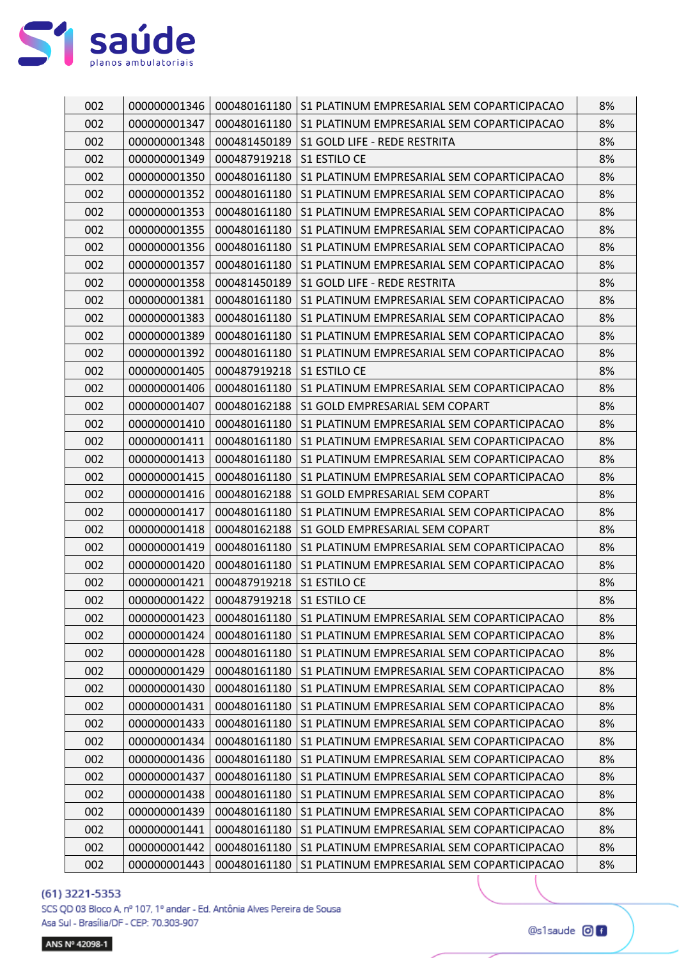

| 002 | 000000001346 | 000480161180 | S1 PLATINUM EMPRESARIAL SEM COPARTICIPACAO | 8% |
|-----|--------------|--------------|--------------------------------------------|----|
| 002 | 000000001347 | 000480161180 | S1 PLATINUM EMPRESARIAL SEM COPARTICIPACAO | 8% |
| 002 | 000000001348 | 000481450189 | S1 GOLD LIFE - REDE RESTRITA               | 8% |
| 002 | 000000001349 | 000487919218 | S1 ESTILO CE                               | 8% |
| 002 | 000000001350 | 000480161180 | S1 PLATINUM EMPRESARIAL SEM COPARTICIPACAO | 8% |
| 002 | 000000001352 | 000480161180 | S1 PLATINUM EMPRESARIAL SEM COPARTICIPACAO | 8% |
| 002 | 000000001353 | 000480161180 | S1 PLATINUM EMPRESARIAL SEM COPARTICIPACAO | 8% |
| 002 | 000000001355 | 000480161180 | S1 PLATINUM EMPRESARIAL SEM COPARTICIPACAO | 8% |
| 002 | 000000001356 | 000480161180 | S1 PLATINUM EMPRESARIAL SEM COPARTICIPACAO | 8% |
| 002 | 000000001357 | 000480161180 | S1 PLATINUM EMPRESARIAL SEM COPARTICIPACAO | 8% |
| 002 | 000000001358 | 000481450189 | S1 GOLD LIFE - REDE RESTRITA               | 8% |
| 002 | 000000001381 | 000480161180 | S1 PLATINUM EMPRESARIAL SEM COPARTICIPACAO | 8% |
| 002 | 000000001383 | 000480161180 | S1 PLATINUM EMPRESARIAL SEM COPARTICIPACAO | 8% |
| 002 | 000000001389 | 000480161180 | S1 PLATINUM EMPRESARIAL SEM COPARTICIPACAO | 8% |
| 002 | 000000001392 | 000480161180 | S1 PLATINUM EMPRESARIAL SEM COPARTICIPACAO | 8% |
| 002 | 000000001405 | 000487919218 | S1 ESTILO CE                               | 8% |
| 002 | 000000001406 | 000480161180 | S1 PLATINUM EMPRESARIAL SEM COPARTICIPACAO | 8% |
| 002 | 000000001407 | 000480162188 | S1 GOLD EMPRESARIAL SEM COPART             | 8% |
| 002 | 000000001410 | 000480161180 | S1 PLATINUM EMPRESARIAL SEM COPARTICIPACAO | 8% |
| 002 | 000000001411 | 000480161180 | S1 PLATINUM EMPRESARIAL SEM COPARTICIPACAO | 8% |
| 002 | 000000001413 | 000480161180 | S1 PLATINUM EMPRESARIAL SEM COPARTICIPACAO | 8% |
| 002 | 000000001415 | 000480161180 | S1 PLATINUM EMPRESARIAL SEM COPARTICIPACAO | 8% |
| 002 | 000000001416 | 000480162188 | S1 GOLD EMPRESARIAL SEM COPART             | 8% |
| 002 | 000000001417 | 000480161180 | S1 PLATINUM EMPRESARIAL SEM COPARTICIPACAO | 8% |
| 002 | 000000001418 | 000480162188 | S1 GOLD EMPRESARIAL SEM COPART             | 8% |
| 002 | 000000001419 | 000480161180 | S1 PLATINUM EMPRESARIAL SEM COPARTICIPACAO | 8% |
| 002 | 000000001420 | 000480161180 | S1 PLATINUM EMPRESARIAL SEM COPARTICIPACAO | 8% |
| 002 | 000000001421 | 000487919218 | S1 ESTILO CE                               | 8% |
| 002 | 000000001422 | 000487919218 | S1 ESTILO CE                               | 8% |
| 002 | 000000001423 | 000480161180 | S1 PLATINUM EMPRESARIAL SEM COPARTICIPACAO | 8% |
| 002 | 000000001424 | 000480161180 | S1 PLATINUM EMPRESARIAL SEM COPARTICIPACAO | 8% |
| 002 | 000000001428 | 000480161180 | S1 PLATINUM EMPRESARIAL SEM COPARTICIPACAO | 8% |
| 002 | 000000001429 | 000480161180 | S1 PLATINUM EMPRESARIAL SEM COPARTICIPACAO | 8% |
| 002 | 000000001430 | 000480161180 | S1 PLATINUM EMPRESARIAL SEM COPARTICIPACAO | 8% |
| 002 | 000000001431 | 000480161180 | S1 PLATINUM EMPRESARIAL SEM COPARTICIPACAO | 8% |
| 002 | 000000001433 | 000480161180 | S1 PLATINUM EMPRESARIAL SEM COPARTICIPACAO | 8% |
| 002 | 000000001434 | 000480161180 | S1 PLATINUM EMPRESARIAL SEM COPARTICIPACAO | 8% |
| 002 | 000000001436 | 000480161180 | S1 PLATINUM EMPRESARIAL SEM COPARTICIPACAO | 8% |
| 002 | 000000001437 | 000480161180 | S1 PLATINUM EMPRESARIAL SEM COPARTICIPACAO | 8% |
| 002 | 000000001438 | 000480161180 | S1 PLATINUM EMPRESARIAL SEM COPARTICIPACAO | 8% |
| 002 | 000000001439 | 000480161180 | S1 PLATINUM EMPRESARIAL SEM COPARTICIPACAO | 8% |
| 002 | 000000001441 | 000480161180 | S1 PLATINUM EMPRESARIAL SEM COPARTICIPACAO | 8% |
| 002 | 000000001442 | 000480161180 | S1 PLATINUM EMPRESARIAL SEM COPARTICIPACAO | 8% |
| 002 | 000000001443 | 000480161180 | S1 PLATINUM EMPRESARIAL SEM COPARTICIPACAO | 8% |

SCS QD 03 Bloco A, nº 107, 1º andar - Ed. Antônia Alves Pereira de Sousa Asa Sul - Brasília/DF - CEP: 70.303-907

ANS Nº 42098-1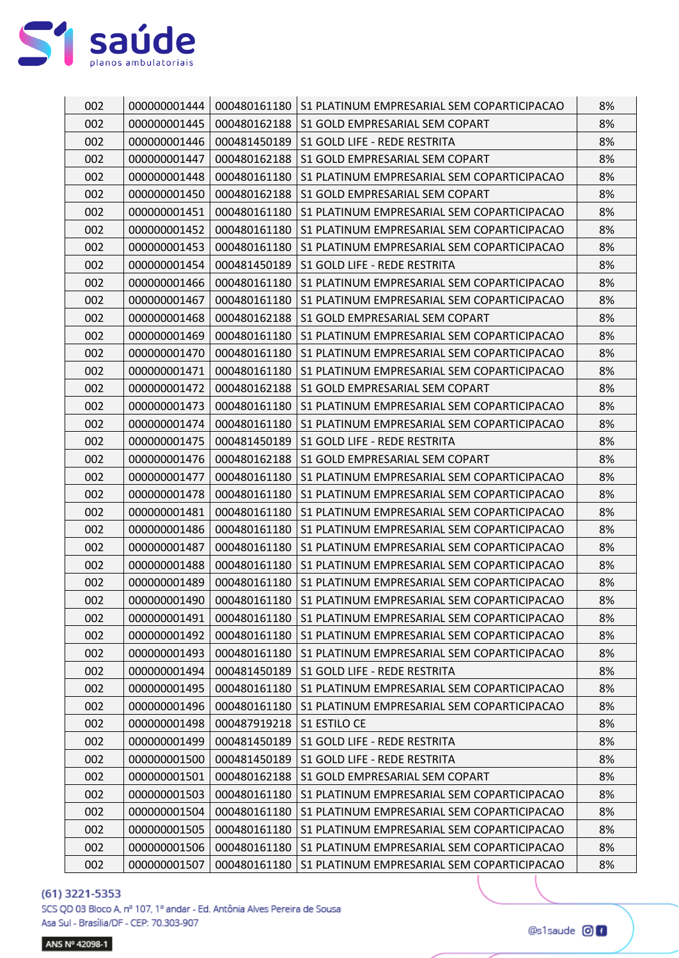

| 002 | 000000001444 |              | 000480161180   S1 PLATINUM EMPRESARIAL SEM COPARTICIPACAO | 8% |
|-----|--------------|--------------|-----------------------------------------------------------|----|
| 002 | 000000001445 | 000480162188 | S1 GOLD EMPRESARIAL SEM COPART                            | 8% |
| 002 | 000000001446 | 000481450189 | S1 GOLD LIFE - REDE RESTRITA                              | 8% |
| 002 | 000000001447 | 000480162188 | S1 GOLD EMPRESARIAL SEM COPART                            | 8% |
| 002 | 000000001448 | 000480161180 | S1 PLATINUM EMPRESARIAL SEM COPARTICIPACAO                | 8% |
| 002 | 000000001450 | 000480162188 | S1 GOLD EMPRESARIAL SEM COPART                            | 8% |
| 002 | 000000001451 | 000480161180 | S1 PLATINUM EMPRESARIAL SEM COPARTICIPACAO                | 8% |
| 002 | 000000001452 | 000480161180 | S1 PLATINUM EMPRESARIAL SEM COPARTICIPACAO                | 8% |
| 002 | 000000001453 | 000480161180 | S1 PLATINUM EMPRESARIAL SEM COPARTICIPACAO                | 8% |
| 002 | 000000001454 | 000481450189 | S1 GOLD LIFE - REDE RESTRITA                              | 8% |
| 002 | 000000001466 | 000480161180 | S1 PLATINUM EMPRESARIAL SEM COPARTICIPACAO                | 8% |
| 002 | 000000001467 | 000480161180 | S1 PLATINUM EMPRESARIAL SEM COPARTICIPACAO                | 8% |
| 002 | 000000001468 | 000480162188 | S1 GOLD EMPRESARIAL SEM COPART                            | 8% |
| 002 | 000000001469 | 000480161180 | S1 PLATINUM EMPRESARIAL SEM COPARTICIPACAO                | 8% |
| 002 | 000000001470 | 000480161180 | S1 PLATINUM EMPRESARIAL SEM COPARTICIPACAO                | 8% |
| 002 | 000000001471 | 000480161180 | S1 PLATINUM EMPRESARIAL SEM COPARTICIPACAO                | 8% |
| 002 | 000000001472 | 000480162188 | S1 GOLD EMPRESARIAL SEM COPART                            | 8% |
| 002 | 000000001473 | 000480161180 | S1 PLATINUM EMPRESARIAL SEM COPARTICIPACAO                | 8% |
| 002 | 000000001474 | 000480161180 | S1 PLATINUM EMPRESARIAL SEM COPARTICIPACAO                | 8% |
| 002 | 000000001475 | 000481450189 | S1 GOLD LIFE - REDE RESTRITA                              | 8% |
| 002 | 000000001476 | 000480162188 | S1 GOLD EMPRESARIAL SEM COPART                            | 8% |
| 002 | 000000001477 | 000480161180 | S1 PLATINUM EMPRESARIAL SEM COPARTICIPACAO                | 8% |
| 002 | 000000001478 | 000480161180 | S1 PLATINUM EMPRESARIAL SEM COPARTICIPACAO                | 8% |
| 002 | 000000001481 | 000480161180 | S1 PLATINUM EMPRESARIAL SEM COPARTICIPACAO                | 8% |
| 002 | 000000001486 | 000480161180 | S1 PLATINUM EMPRESARIAL SEM COPARTICIPACAO                | 8% |
| 002 | 000000001487 | 000480161180 | S1 PLATINUM EMPRESARIAL SEM COPARTICIPACAO                | 8% |
| 002 | 000000001488 | 000480161180 | S1 PLATINUM EMPRESARIAL SEM COPARTICIPACAO                | 8% |
| 002 | 000000001489 | 000480161180 | S1 PLATINUM EMPRESARIAL SEM COPARTICIPACAO                | 8% |
| 002 | 000000001490 | 000480161180 | S1 PLATINUM EMPRESARIAL SEM COPARTICIPACAO                | 8% |
| 002 | 000000001491 | 000480161180 | S1 PLATINUM EMPRESARIAL SEM COPARTICIPACAO                | 8% |
| 002 | 000000001492 | 000480161180 | S1 PLATINUM EMPRESARIAL SEM COPARTICIPACAO                | 8% |
| 002 | 000000001493 | 000480161180 | S1 PLATINUM EMPRESARIAL SEM COPARTICIPACAO                | 8% |
| 002 | 000000001494 | 000481450189 | S1 GOLD LIFE - REDE RESTRITA                              | 8% |
| 002 | 000000001495 | 000480161180 | S1 PLATINUM EMPRESARIAL SEM COPARTICIPACAO                | 8% |
| 002 | 000000001496 | 000480161180 | S1 PLATINUM EMPRESARIAL SEM COPARTICIPACAO                | 8% |
| 002 | 000000001498 | 000487919218 | S1 ESTILO CE                                              | 8% |
| 002 | 000000001499 | 000481450189 | S1 GOLD LIFE - REDE RESTRITA                              | 8% |
| 002 | 000000001500 | 000481450189 | S1 GOLD LIFE - REDE RESTRITA                              | 8% |
| 002 | 000000001501 | 000480162188 | S1 GOLD EMPRESARIAL SEM COPART                            | 8% |
| 002 | 000000001503 | 000480161180 | S1 PLATINUM EMPRESARIAL SEM COPARTICIPACAO                | 8% |
| 002 | 000000001504 | 000480161180 | S1 PLATINUM EMPRESARIAL SEM COPARTICIPACAO                | 8% |
| 002 | 000000001505 | 000480161180 | S1 PLATINUM EMPRESARIAL SEM COPARTICIPACAO                | 8% |
| 002 | 000000001506 | 000480161180 | S1 PLATINUM EMPRESARIAL SEM COPARTICIPACAO                | 8% |
| 002 | 000000001507 | 000480161180 | S1 PLATINUM EMPRESARIAL SEM COPARTICIPACAO                | 8% |

SCS QD 03 Bloco A, nº 107, 1º andar - Ed. Antônia Alves Pereira de Sousa Asa Sul - Brasília/DF - CEP: 70.303-907

ANS Nº 42098-1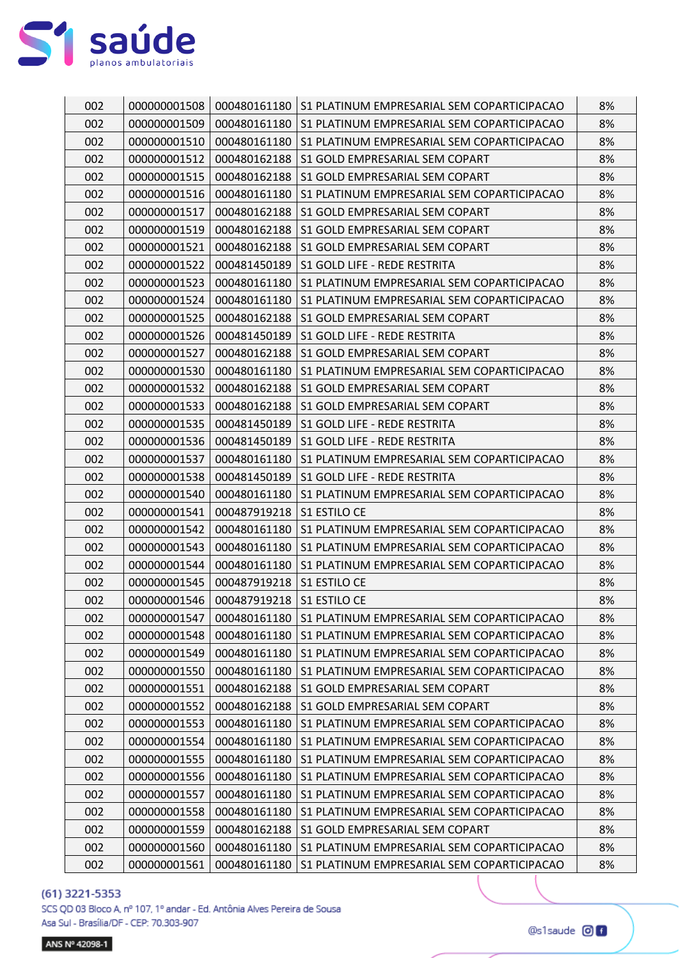

| 002 | 000000001508 |              | 000480161180   S1 PLATINUM EMPRESARIAL SEM COPARTICIPACAO | 8% |
|-----|--------------|--------------|-----------------------------------------------------------|----|
| 002 | 000000001509 | 000480161180 | S1 PLATINUM EMPRESARIAL SEM COPARTICIPACAO                | 8% |
| 002 | 000000001510 | 000480161180 | S1 PLATINUM EMPRESARIAL SEM COPARTICIPACAO                | 8% |
| 002 | 000000001512 | 000480162188 | S1 GOLD EMPRESARIAL SEM COPART                            | 8% |
| 002 | 000000001515 | 000480162188 | S1 GOLD EMPRESARIAL SEM COPART                            | 8% |
| 002 | 000000001516 | 000480161180 | S1 PLATINUM EMPRESARIAL SEM COPARTICIPACAO                | 8% |
| 002 | 000000001517 | 000480162188 | S1 GOLD EMPRESARIAL SEM COPART                            | 8% |
| 002 | 000000001519 | 000480162188 | S1 GOLD EMPRESARIAL SEM COPART                            | 8% |
| 002 | 000000001521 | 000480162188 | S1 GOLD EMPRESARIAL SEM COPART                            | 8% |
| 002 | 000000001522 | 000481450189 | S1 GOLD LIFE - REDE RESTRITA                              | 8% |
| 002 | 000000001523 | 000480161180 | S1 PLATINUM EMPRESARIAL SEM COPARTICIPACAO                | 8% |
| 002 | 000000001524 | 000480161180 | S1 PLATINUM EMPRESARIAL SEM COPARTICIPACAO                | 8% |
| 002 | 000000001525 | 000480162188 | S1 GOLD EMPRESARIAL SEM COPART                            | 8% |
| 002 | 000000001526 | 000481450189 | S1 GOLD LIFE - REDE RESTRITA                              | 8% |
| 002 | 000000001527 | 000480162188 | S1 GOLD EMPRESARIAL SEM COPART                            | 8% |
| 002 | 000000001530 | 000480161180 | S1 PLATINUM EMPRESARIAL SEM COPARTICIPACAO                | 8% |
| 002 | 000000001532 | 000480162188 | S1 GOLD EMPRESARIAL SEM COPART                            | 8% |
| 002 | 000000001533 | 000480162188 | S1 GOLD EMPRESARIAL SEM COPART                            | 8% |
| 002 | 000000001535 | 000481450189 | S1 GOLD LIFE - REDE RESTRITA                              | 8% |
| 002 | 000000001536 | 000481450189 | S1 GOLD LIFE - REDE RESTRITA                              | 8% |
| 002 | 000000001537 | 000480161180 | S1 PLATINUM EMPRESARIAL SEM COPARTICIPACAO                | 8% |
| 002 | 000000001538 | 000481450189 | S1 GOLD LIFE - REDE RESTRITA                              | 8% |
| 002 | 000000001540 | 000480161180 | S1 PLATINUM EMPRESARIAL SEM COPARTICIPACAO                | 8% |
| 002 | 000000001541 | 000487919218 | <b>S1 ESTILO CE</b>                                       | 8% |
| 002 | 000000001542 | 000480161180 | S1 PLATINUM EMPRESARIAL SEM COPARTICIPACAO                | 8% |
| 002 | 000000001543 | 000480161180 | S1 PLATINUM EMPRESARIAL SEM COPARTICIPACAO                | 8% |
| 002 | 000000001544 | 000480161180 | S1 PLATINUM EMPRESARIAL SEM COPARTICIPACAO                | 8% |
| 002 | 000000001545 | 000487919218 | S1 ESTILO CE                                              | 8% |
| 002 | 000000001546 | 000487919218 | S1 ESTILO CE                                              | 8% |
| 002 | 000000001547 | 000480161180 | S1 PLATINUM EMPRESARIAL SEM COPARTICIPACAO                | 8% |
| 002 | 000000001548 | 000480161180 | S1 PLATINUM EMPRESARIAL SEM COPARTICIPACAO                | 8% |
| 002 | 000000001549 | 000480161180 | S1 PLATINUM EMPRESARIAL SEM COPARTICIPACAO                | 8% |
| 002 | 000000001550 | 000480161180 | S1 PLATINUM EMPRESARIAL SEM COPARTICIPACAO                | 8% |
| 002 | 000000001551 | 000480162188 | S1 GOLD EMPRESARIAL SEM COPART                            | 8% |
| 002 | 000000001552 | 000480162188 | S1 GOLD EMPRESARIAL SEM COPART                            | 8% |
| 002 | 000000001553 | 000480161180 | S1 PLATINUM EMPRESARIAL SEM COPARTICIPACAO                | 8% |
| 002 | 000000001554 | 000480161180 | S1 PLATINUM EMPRESARIAL SEM COPARTICIPACAO                | 8% |
| 002 | 000000001555 | 000480161180 | S1 PLATINUM EMPRESARIAL SEM COPARTICIPACAO                | 8% |
| 002 | 000000001556 | 000480161180 | S1 PLATINUM EMPRESARIAL SEM COPARTICIPACAO                | 8% |
| 002 | 000000001557 | 000480161180 | S1 PLATINUM EMPRESARIAL SEM COPARTICIPACAO                | 8% |
| 002 | 000000001558 | 000480161180 | S1 PLATINUM EMPRESARIAL SEM COPARTICIPACAO                | 8% |
| 002 | 000000001559 | 000480162188 | S1 GOLD EMPRESARIAL SEM COPART                            | 8% |
| 002 | 000000001560 | 000480161180 | S1 PLATINUM EMPRESARIAL SEM COPARTICIPACAO                | 8% |
| 002 | 000000001561 | 000480161180 | S1 PLATINUM EMPRESARIAL SEM COPARTICIPACAO                | 8% |

SCS QD 03 Bloco A, nº 107, 1º andar - Ed. Antônia Alves Pereira de Sousa Asa Sul - Brasília/DF - CEP: 70.303-907

ANS Nº 42098-1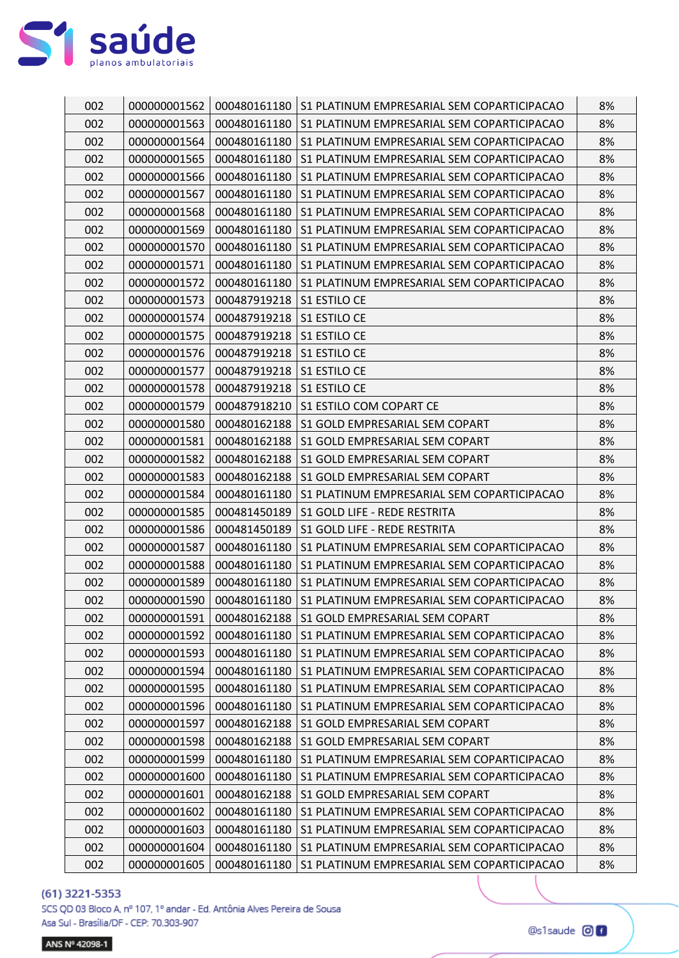

| 002 | 000000001562 | 000480161180 | S1 PLATINUM EMPRESARIAL SEM COPARTICIPACAO | 8% |
|-----|--------------|--------------|--------------------------------------------|----|
| 002 | 000000001563 | 000480161180 | S1 PLATINUM EMPRESARIAL SEM COPARTICIPACAO | 8% |
| 002 | 000000001564 | 000480161180 | S1 PLATINUM EMPRESARIAL SEM COPARTICIPACAO | 8% |
| 002 | 000000001565 | 000480161180 | S1 PLATINUM EMPRESARIAL SEM COPARTICIPACAO | 8% |
| 002 | 000000001566 | 000480161180 | S1 PLATINUM EMPRESARIAL SEM COPARTICIPACAO | 8% |
| 002 | 000000001567 | 000480161180 | S1 PLATINUM EMPRESARIAL SEM COPARTICIPACAO | 8% |
| 002 | 000000001568 | 000480161180 | S1 PLATINUM EMPRESARIAL SEM COPARTICIPACAO | 8% |
| 002 | 000000001569 | 000480161180 | S1 PLATINUM EMPRESARIAL SEM COPARTICIPACAO | 8% |
| 002 | 000000001570 | 000480161180 | S1 PLATINUM EMPRESARIAL SEM COPARTICIPACAO | 8% |
| 002 | 000000001571 | 000480161180 | S1 PLATINUM EMPRESARIAL SEM COPARTICIPACAO | 8% |
| 002 | 000000001572 | 000480161180 | S1 PLATINUM EMPRESARIAL SEM COPARTICIPACAO | 8% |
| 002 | 000000001573 | 000487919218 | S1 ESTILO CE                               | 8% |
| 002 | 000000001574 | 000487919218 | S1 ESTILO CE                               | 8% |
| 002 | 000000001575 | 000487919218 | S1 ESTILO CE                               | 8% |
| 002 | 000000001576 | 000487919218 | S1 ESTILO CE                               | 8% |
| 002 | 000000001577 | 000487919218 | S1 ESTILO CE                               | 8% |
| 002 | 000000001578 | 000487919218 | S1 ESTILO CE                               | 8% |
| 002 | 000000001579 | 000487918210 | S1 ESTILO COM COPART CE                    | 8% |
| 002 | 000000001580 | 000480162188 | S1 GOLD EMPRESARIAL SEM COPART             | 8% |
| 002 | 000000001581 | 000480162188 | S1 GOLD EMPRESARIAL SEM COPART             | 8% |
| 002 | 000000001582 | 000480162188 | S1 GOLD EMPRESARIAL SEM COPART             | 8% |
| 002 | 000000001583 | 000480162188 | S1 GOLD EMPRESARIAL SEM COPART             | 8% |
| 002 | 000000001584 | 000480161180 | S1 PLATINUM EMPRESARIAL SEM COPARTICIPACAO | 8% |
| 002 | 000000001585 | 000481450189 | S1 GOLD LIFE - REDE RESTRITA               | 8% |
| 002 | 000000001586 | 000481450189 | S1 GOLD LIFE - REDE RESTRITA               | 8% |
| 002 | 000000001587 | 000480161180 | S1 PLATINUM EMPRESARIAL SEM COPARTICIPACAO | 8% |
| 002 | 000000001588 | 000480161180 | S1 PLATINUM EMPRESARIAL SEM COPARTICIPACAO | 8% |
| 002 | 000000001589 | 000480161180 | S1 PLATINUM EMPRESARIAL SEM COPARTICIPACAO | 8% |
| 002 | 000000001590 | 000480161180 | S1 PLATINUM EMPRESARIAL SEM COPARTICIPACAO | 8% |
| 002 | 000000001591 | 000480162188 | S1 GOLD EMPRESARIAL SEM COPART             | 8% |
| 002 | 000000001592 | 000480161180 | S1 PLATINUM EMPRESARIAL SEM COPARTICIPACAO | 8% |
| 002 | 000000001593 | 000480161180 | S1 PLATINUM EMPRESARIAL SEM COPARTICIPACAO | 8% |
| 002 | 000000001594 | 000480161180 | S1 PLATINUM EMPRESARIAL SEM COPARTICIPACAO | 8% |
| 002 | 000000001595 | 000480161180 | S1 PLATINUM EMPRESARIAL SEM COPARTICIPACAO | 8% |
| 002 | 000000001596 | 000480161180 | S1 PLATINUM EMPRESARIAL SEM COPARTICIPACAO | 8% |
| 002 | 000000001597 | 000480162188 | S1 GOLD EMPRESARIAL SEM COPART             | 8% |
| 002 | 000000001598 | 000480162188 | S1 GOLD EMPRESARIAL SEM COPART             | 8% |
| 002 | 000000001599 | 000480161180 | S1 PLATINUM EMPRESARIAL SEM COPARTICIPACAO | 8% |
| 002 | 000000001600 | 000480161180 | S1 PLATINUM EMPRESARIAL SEM COPARTICIPACAO | 8% |
| 002 | 000000001601 | 000480162188 | S1 GOLD EMPRESARIAL SEM COPART             | 8% |
| 002 | 000000001602 | 000480161180 | S1 PLATINUM EMPRESARIAL SEM COPARTICIPACAO | 8% |
| 002 | 000000001603 | 000480161180 | S1 PLATINUM EMPRESARIAL SEM COPARTICIPACAO | 8% |
| 002 | 000000001604 | 000480161180 | S1 PLATINUM EMPRESARIAL SEM COPARTICIPACAO | 8% |
| 002 | 000000001605 | 000480161180 | S1 PLATINUM EMPRESARIAL SEM COPARTICIPACAO | 8% |

SCS QD 03 Bloco A, nº 107, 1º andar - Ed. Antônia Alves Pereira de Sousa Asa Sul - Brasília/DF - CEP: 70.303-907

ANS Nº 42098-1